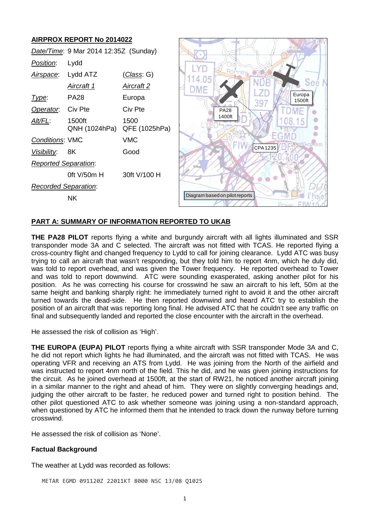# **AIRPROX REPORT No 2014022**

| Date/Time: 9 Mar 2014 12:35Z (Sunday) |                         |                       |                                         |  |
|---------------------------------------|-------------------------|-----------------------|-----------------------------------------|--|
| Position:                             | Lydd                    |                       |                                         |  |
| Airspace:                             | Lydd ATZ                | <u>(Class</u> : G)    | 114.05                                  |  |
|                                       | <u>Aircraft 1</u>       | <u>Aircraft 2</u>     | See N<br>DME                            |  |
| Type:                                 | <b>PA28</b>             | Europa                | Europa<br>1500ft<br>39                  |  |
| Operator.                             | Civ Pte                 | Civ Pte               | <b>PA28</b>                             |  |
| Alt/FL:                               | 1500ft<br>QNH (1024hPa) | 1500<br>QFE (1025hPa) | 1400ft                                  |  |
| Conditions: VMC                       |                         | <b>VMC</b>            | Lydd-on-Sea                             |  |
| Visibility:                           | 8K                      | Good                  | CPA 1235                                |  |
| <b>Reported Separation:</b>           |                         |                       |                                         |  |
|                                       | Oft V/50m H             | 30ft V/100 H          |                                         |  |
| <b>Recorded Separation:</b>           |                         |                       |                                         |  |
|                                       | <b>NK</b>               |                       | Diagram based on pilot reports<br>IIAIA |  |
|                                       |                         |                       |                                         |  |

### **PART A: SUMMARY OF INFORMATION REPORTED TO UKAB**

**THE PA28 PILOT** reports flying a white and burgundy aircraft with all lights illuminated and SSR transponder mode 3A and C selected. The aircraft was not fitted with TCAS. He reported flying a cross-country flight and changed frequency to Lydd to call for joining clearance. Lydd ATC was busy trying to call an aircraft that wasn't responding, but they told him to report 4nm, which he duly did, was told to report overhead, and was given the Tower frequency. He reported overhead to Tower and was told to report downwind. ATC were sounding exasperated, asking another pilot for his position. As he was correcting his course for crosswind he saw an aircraft to his left, 50m at the same height and banking sharply right: he immediately turned right to avoid it and the other aircraft turned towards the dead-side. He then reported downwind and heard ATC try to establish the position of an aircraft that was reporting long final. He advised ATC that he couldn't see any traffic on final and subsequently landed and reported the close encounter with the aircraft in the overhead.

He assessed the risk of collision as 'High'.

**THE EUROPA (EUPA) PILOT** reports flying a white aircraft with SSR transponder Mode 3A and C, he did not report which lights he had illuminated, and the aircraft was not fitted with TCAS. He was operating VFR and receiving an ATS from Lydd. He was joining from the North of the airfield and was instructed to report 4nm north of the field. This he did, and he was given joining instructions for the circuit. As he joined overhead at 1500ft, at the start of RW21, he noticed another aircraft joining in a similar manner to the right and ahead of him. They were on slightly converging headings and, judging the other aircraft to be faster, he reduced power and turned right to position behind. The other pilot questioned ATC to ask whether someone was joining using a non-standard approach, when questioned by ATC he informed them that he intended to track down the runway before turning crosswind.

He assessed the risk of collision as 'None'.

#### **Factual Background**

The weather at Lydd was recorded as follows:

METAR EGMD 091120Z 22011KT 8000 NSC 13/08 Q1025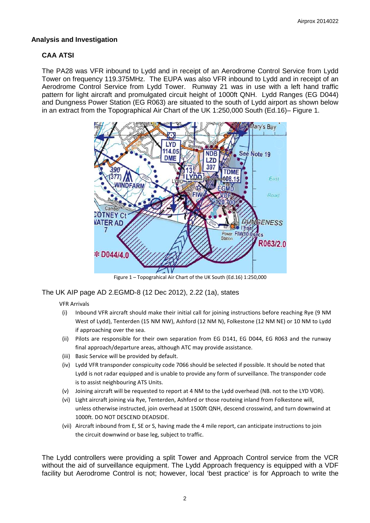## **Analysis and Investigation**

# **CAA ATSI**

The PA28 was VFR inbound to Lydd and in receipt of an Aerodrome Control Service from Lydd Tower on frequency 119.375MHz. The EUPA was also VFR inbound to Lydd and in receipt of an Aerodrome Control Service from Lydd Tower. Runway 21 was in use with a left hand traffic pattern for light aircraft and promulgated circuit height of 1000ft QNH. Lydd Ranges (EG D044) and Dungness Power Station (EG R063) are situated to the south of Lydd airport as shown below in an extract from the Topographical Air Chart of the UK 1:250,000 South (Ed.16)– Figure 1.



Figure 1 – Topograhical Air Chart of the UK South (Ed.16) 1:250,000

## The UK AIP page AD 2.EGMD-8 (12 Dec 2012), 2.22 (1a), states

#### VFR Arrivals

- (i) Inbound VFR aircraft should make their initial call for joining instructions before reaching Rye (9 NM West of Lydd), Tenterden (15 NM NW), Ashford (12 NM N), Folkestone (12 NM NE) or 10 NM to Lydd if approaching over the sea.
- (ii) Pilots are responsible for their own separation from EG D141, EG D044, EG R063 and the runway final approach/departure areas, although ATC may provide assistance.
- (iii) Basic Service will be provided by default.
- (iv) Lydd VFR transponder conspicuity code 7066 should be selected if possible. It should be noted that Lydd is not radar equipped and is unable to provide any form of surveillance. The transponder code is to assist neighbouring ATS Units.
- (v) Joining aircraft will be requested to report at 4 NM to the Lydd overhead (NB. not to the LYD VOR).
- (vi) Light aircraft joining via Rye, Tenterden, Ashford or those routeing inland from Folkestone will, unless otherwise instructed, join overhead at 1500ft QNH, descend crosswind, and turn downwind at 1000ft. DO NOT DESCEND DEADSIDE.
- (vii) Aircraft inbound from E, SE or S, having made the 4 mile report, can anticipate instructions to join the circuit downwind or base leg, subject to traffic.

The Lydd controllers were providing a split Tower and Approach Control service from the VCR without the aid of surveillance equipment. The Lydd Approach frequency is equipped with a VDF facility but Aerodrome Control is not; however, local 'best practice' is for Approach to write the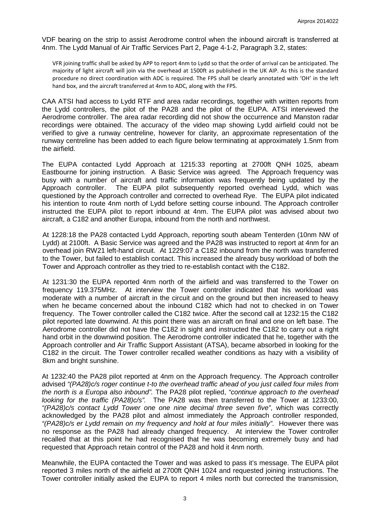VDF bearing on the strip to assist Aerodrome control when the inbound aircraft is transferred at 4nm. The Lydd Manual of Air Traffic Services Part 2, Page 4-1-2, Paragraph 3.2, states:

VFR joining traffic shall be asked by APP to report 4nm to Lydd so that the order of arrival can be anticipated. The majority of light aircraft will join via the overhead at 1500ft as published in the UK AIP. As this is the standard procedure no direct coordination with ADC is required. The FPS shall be clearly annotated with 'OH' in the left hand box, and the aircraft transferred at 4nm to ADC, along with the FPS.

CAA ATSI had access to Lydd RTF and area radar recordings, together with written reports from the Lydd controllers, the pilot of the PA28 and the pilot of the EUPA. ATSI interviewed the Aerodrome controller. The area radar recording did not show the occurrence and Manston radar recordings were obtained. The accuracy of the video map showing Lydd airfield could not be verified to give a runway centreline, however for clarity, an approximate representation of the runway centreline has been added to each figure below terminating at approximately 1.5nm from the airfield.

The EUPA contacted Lydd Approach at 1215:33 reporting at 2700ft QNH 1025, abeam Eastbourne for joining instruction. A Basic Service was agreed. The Approach frequency was busy with a number of aircraft and traffic information was frequently being updated by the Approach controller. The EUPA pilot subsequently reported overhead Lydd, which was questioned by the Approach controller and corrected to overhead Rye. The EUPA pilot indicated his intention to route 4nm north of Lydd before setting course inbound. The Approach controller instructed the EUPA pilot to report inbound at 4nm. The EUPA pilot was advised about two aircraft, a C182 and another Europa, inbound from the north and northwest.

At 1228:18 the PA28 contacted Lydd Approach, reporting south abeam Tenterden (10nm NW of Lydd) at 2100ft. A Basic Service was agreed and the PA28 was instructed to report at 4nm for an overhead join RW21 left-hand circuit. At 1229:07 a C182 inbound from the north was transferred to the Tower, but failed to establish contact. This increased the already busy workload of both the Tower and Approach controller as they tried to re-establish contact with the C182.

At 1231:30 the EUPA reported 4nm north of the airfield and was transferred to the Tower on frequency 119.375MHz. At interview the Tower controller indicated that his workload was moderate with a number of aircraft in the circuit and on the ground but then increased to heavy when he became concerned about the inbound C182 which had not to checked in on Tower frequency. The Tower controller called the C182 twice. After the second call at 1232:15 the C182 pilot reported late downwind. At this point there was an aircraft on final and one on left base. The Aerodrome controller did not have the C182 in sight and instructed the C182 to carry out a right hand orbit in the downwind position. The Aerodrome controller indicated that he, together with the Approach controller and Air Traffic Support Assistant (ATSA), became absorbed in looking for the C182 in the circuit. The Tower controller recalled weather conditions as hazy with a visibility of 8km and bright sunshine.

At 1232:40 the PA28 pilot reported at 4nm on the Approach frequency. The Approach controller advised *"(PA28)c/s roger continue t-to the overhead traffic ahead of you just called four miles from the north is a Europa also inbound".* The PA28 pilot replied, *"continue approach to the overhead looking for the traffic (PA28)c/s".* The PA28 was then transferred to the Tower at 1233:00, *"(PA28)c/s contact Lydd Tower one one nine decimal three seven five"*, which was correctly acknowledged by the PA28 pilot and almost immediately the Approach controller responded, *"(PA28)c/s er Lydd remain on my frequency and hold at four miles initially"*. However there was no response as the PA28 had already changed frequency. At interview the Tower controller recalled that at this point he had recognised that he was becoming extremely busy and had requested that Approach retain control of the PA28 and hold it 4nm north.

Meanwhile, the EUPA contacted the Tower and was asked to pass it's message. The EUPA pilot reported 3 miles north of the airfield at 2700ft QNH 1024 and requested joining instructions. The Tower controller initially asked the EUPA to report 4 miles north but corrected the transmission,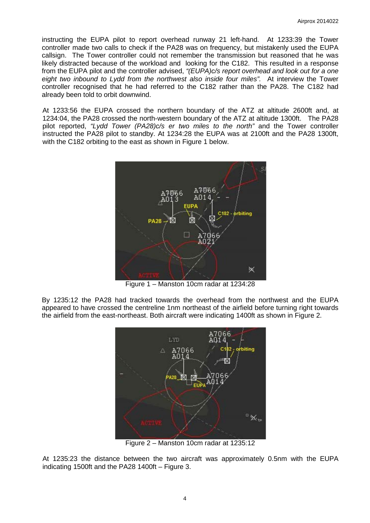instructing the EUPA pilot to report overhead runway 21 left-hand. At 1233:39 the Tower controller made two calls to check if the PA28 was on frequency, but mistakenly used the EUPA callsign. The Tower controller could not remember the transmission but reasoned that he was likely distracted because of the workload and looking for the C182. This resulted in a response from the EUPA pilot and the controller advised, *"(EUPA)c/s report overhead and look out for a one eight two inbound to Lydd from the northwest also inside four miles".* At interview the Tower controller recognised that he had referred to the C182 rather than the PA28. The C182 had already been told to orbit downwind.

At 1233:56 the EUPA crossed the northern boundary of the ATZ at altitude 2600ft and, at 1234:04, the PA28 crossed the north-western boundary of the ATZ at altitude 1300ft. The PA28 pilot reported, *"Lydd Tower (PA28)c/s er two miles to the north"* and the Tower controller instructed the PA28 pilot to standby. At 1234:28 the EUPA was at 2100ft and the PA28 1300ft, with the C182 orbiting to the east as shown in Figure 1 below.



Figure 1 – Manston 10cm radar at 1234:28

By 1235:12 the PA28 had tracked towards the overhead from the northwest and the EUPA appeared to have crossed the centreline 1nm northeast of the airfield before turning right towards the airfield from the east-northeast. Both aircraft were indicating 1400ft as shown in Figure 2.



Figure 2 – Manston 10cm radar at 1235:12

At 1235:23 the distance between the two aircraft was approximately 0.5nm with the EUPA indicating 1500ft and the PA28 1400ft – Figure 3.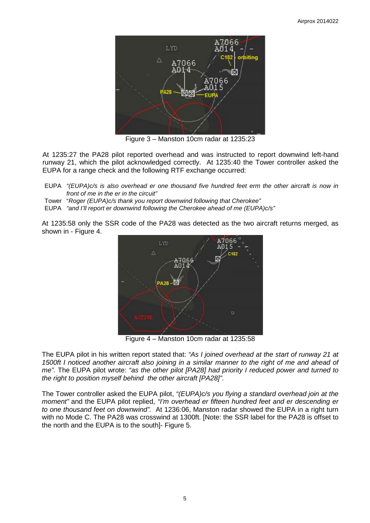

Figure 3 – Manston 10cm radar at 1235:23

At 1235:27 the PA28 pilot reported overhead and was instructed to report downwind left-hand runway 21, which the pilot acknowledged correctly. At 1235:40 the Tower controller asked the EUPA for a range check and the following RTF exchange occurred:

- EUPA *"(EUPA)c/s is also overhead er one thousand five hundred feet erm the other aircraft is now in front of me in the er in the circuit"*
- Tower "*Roger (EUPA)c/s thank you report downwind following that Cherokee"*

EUPA *"and I'll report er downwind following the Cherokee ahead of me (EUPA)c/s"*

At 1235:58 only the SSR code of the PA28 was detected as the two aircraft returns merged, as shown in - Figure 4.



Figure 4 – Manston 10cm radar at 1235:58

The EUPA pilot in his written report stated that: *"As I joined overhead at the start of runway 21 at 1500ft I noticed another aircraft also joining in a similar manner to the right of me and ahead of me".* The EUPA pilot wrote: *"as the other pilot [PA28] had priority I reduced power and turned to the right to position myself behind the other aircraft [PA28]"*.

The Tower controller asked the EUPA pilot, *"(EUPA)c/s you flying a standard overhead join at the moment"* and the EUPA pilot replied, *"I'm overhead er fifteen hundred feet and er descending er to one thousand feet on downwind".* At 1236:06, Manston radar showed the EUPA in a right turn with no Mode C. The PA28 was crosswind at 1300ft. [Note: the SSR label for the PA28 is offset to the north and the EUPA is to the south]- Figure 5.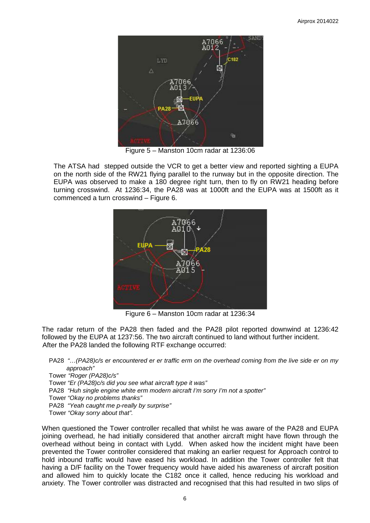

Figure 5 – Manston 10cm radar at 1236:06

The ATSA had stepped outside the VCR to get a better view and reported sighting a EUPA on the north side of the RW21 flying parallel to the runway but in the opposite direction. The EUPA was observed to make a 180 degree right turn, then to fly on RW21 heading before turning crosswind. At 1236:34, the PA28 was at 1000ft and the EUPA was at 1500ft as it commenced a turn crosswind – Figure 6.



Figure 6 – Manston 10cm radar at 1236:34

The radar return of the PA28 then faded and the PA28 pilot reported downwind at 1236:42 followed by the EUPA at 1237:56. The two aircraft continued to land without further incident. After the PA28 landed the following RTF exchange occurred:

PA28 *"…(PA28)c/s er encountered er er traffic erm on the overhead coming from the live side er on my approach"*

Tower *"Roger (PA28)c/s"*

Tower *"Er (PA28)c/s did you see what aircraft type it was"*

PA28 *"Huh single engine white erm modern aircraft I'm sorry I'm not a spotter"*

Tower *"Okay no problems thanks"*

PA28 *"Yeah caught me p-really by surprise"*

Tower *"Okay sorry about that".*

When questioned the Tower controller recalled that whilst he was aware of the PA28 and EUPA joining overhead, he had initially considered that another aircraft might have flown through the overhead without being in contact with Lydd. When asked how the incident might have been prevented the Tower controller considered that making an earlier request for Approach control to hold inbound traffic would have eased his workload. In addition the Tower controller felt that having a D/F facility on the Tower frequency would have aided his awareness of aircraft position and allowed him to quickly locate the C182 once it called, hence reducing his workload and anxiety. The Tower controller was distracted and recognised that this had resulted in two slips of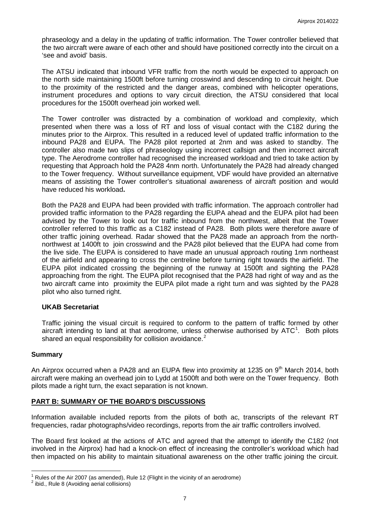phraseology and a delay in the updating of traffic information. The Tower controller believed that the two aircraft were aware of each other and should have positioned correctly into the circuit on a 'see and avoid' basis.

The ATSU indicated that inbound VFR traffic from the north would be expected to approach on the north side maintaining 1500ft before turning crosswind and descending to circuit height. Due to the proximity of the restricted and the danger areas, combined with helicopter operations, instrument procedures and options to vary circuit direction, the ATSU considered that local procedures for the 1500ft overhead join worked well.

The Tower controller was distracted by a combination of workload and complexity, which presented when there was a loss of RT and loss of visual contact with the C182 during the minutes prior to the Airprox. This resulted in a reduced level of updated traffic information to the inbound PA28 and EUPA. The PA28 pilot reported at 2nm and was asked to standby. The controller also made two slips of phraseology using incorrect callsign and then incorrect aircraft type. The Aerodrome controller had recognised the increased workload and tried to take action by requesting that Approach hold the PA28 4nm north. Unfortunately the PA28 had already changed to the Tower frequency. Without surveillance equipment, VDF would have provided an alternative means of assisting the Tower controller's situational awareness of aircraft position and would have reduced his workload**.** 

Both the PA28 and EUPA had been provided with traffic information. The approach controller had provided traffic information to the PA28 regarding the EUPA ahead and the EUPA pilot had been advised by the Tower to look out for traffic inbound from the northwest, albeit that the Tower controller referred to this traffic as a C182 instead of PA28. Both pilots were therefore aware of other traffic joining overhead. Radar showed that the PA28 made an approach from the northnorthwest at 1400ft to join crosswind and the PA28 pilot believed that the EUPA had come from the live side. The EUPA is considered to have made an unusual approach routing 1nm northeast of the airfield and appearing to cross the centreline before turning right towards the airfield. The EUPA pilot indicated crossing the beginning of the runway at 1500ft and sighting the PA28 approaching from the right. The EUPA pilot recognised that the PA28 had right of way and as the two aircraft came into proximity the EUPA pilot made a right turn and was sighted by the PA28 pilot who also turned right.

#### **UKAB Secretariat**

Traffic joining the visual circuit is required to conform to the pattern of traffic formed by other aircraft intending to land at that aerodrome, unless otherwise authorised by ATC<sup>[1](#page-6-0)</sup>. Both pilots shared an equal responsibility for collision avoidance.<sup>[2](#page-6-1)</sup>

#### **Summary**

An Airprox occurred when a PA28 and an EUPA flew into proximity at 1235 on 9<sup>th</sup> March 2014, both aircraft were making an overhead join to Lydd at 1500ft and both were on the Tower frequency. Both pilots made a right turn, the exact separation is not known.

## **PART B: SUMMARY OF THE BOARD'S DISCUSSIONS**

Information available included reports from the pilots of both ac, transcripts of the relevant RT frequencies, radar photographs/video recordings, reports from the air traffic controllers involved.

The Board first looked at the actions of ATC and agreed that the attempt to identify the C182 (not involved in the Airprox) had had a knock-on effect of increasing the controller's workload which had then impacted on his ability to maintain situational awareness on the other traffic joining the circuit.

<span id="page-6-0"></span><sup>&</sup>lt;sup>1</sup> Rules of the Air 2007 (as amended), Rule 12 (Flight in the vicinity of an aerodrome)  $^2$  ibid., Rule 8 (Avoiding aerial collisions)

<span id="page-6-1"></span>